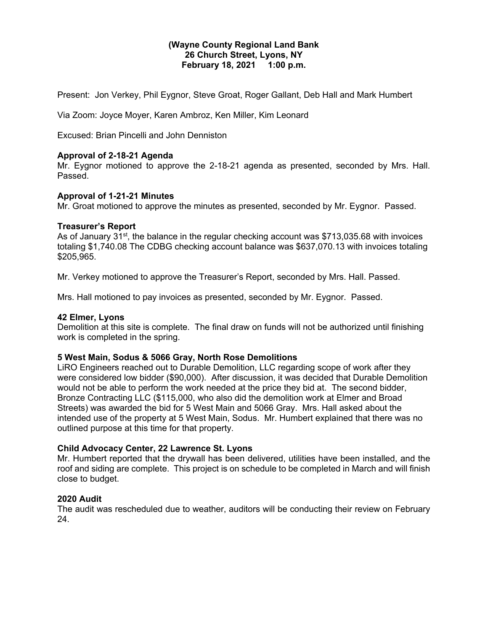### **(Wayne County Regional Land Bank 26 Church Street, Lyons, NY February 18, 2021 1:00 p.m.**

Present: Jon Verkey, Phil Eygnor, Steve Groat, Roger Gallant, Deb Hall and Mark Humbert

Via Zoom: Joyce Moyer, Karen Ambroz, Ken Miller, Kim Leonard

Excused: Brian Pincelli and John Denniston

# **Approval of 2-18-21 Agenda**

Mr. Eygnor motioned to approve the 2-18-21 agenda as presented, seconded by Mrs. Hall. Passed.

# **Approval of 1-21-21 Minutes**

Mr. Groat motioned to approve the minutes as presented, seconded by Mr. Eygnor. Passed.

# **Treasurer's Report**

As of January 31<sup>st</sup>, the balance in the regular checking account was \$713,035.68 with invoices totaling \$1,740.08 The CDBG checking account balance was \$637,070.13 with invoices totaling \$205,965.

Mr. Verkey motioned to approve the Treasurer's Report, seconded by Mrs. Hall. Passed.

Mrs. Hall motioned to pay invoices as presented, seconded by Mr. Eygnor. Passed.

#### **42 Elmer, Lyons**

Demolition at this site is complete. The final draw on funds will not be authorized until finishing work is completed in the spring.

#### **5 West Main, Sodus & 5066 Gray, North Rose Demolitions**

LiRO Engineers reached out to Durable Demolition, LLC regarding scope of work after they were considered low bidder (\$90,000). After discussion, it was decided that Durable Demolition would not be able to perform the work needed at the price they bid at. The second bidder, Bronze Contracting LLC (\$115,000, who also did the demolition work at Elmer and Broad Streets) was awarded the bid for 5 West Main and 5066 Gray. Mrs. Hall asked about the intended use of the property at 5 West Main, Sodus. Mr. Humbert explained that there was no outlined purpose at this time for that property.

#### **Child Advocacy Center, 22 Lawrence St. Lyons**

Mr. Humbert reported that the drywall has been delivered, utilities have been installed, and the roof and siding are complete. This project is on schedule to be completed in March and will finish close to budget.

#### **2020 Audit**

The audit was rescheduled due to weather, auditors will be conducting their review on February 24.